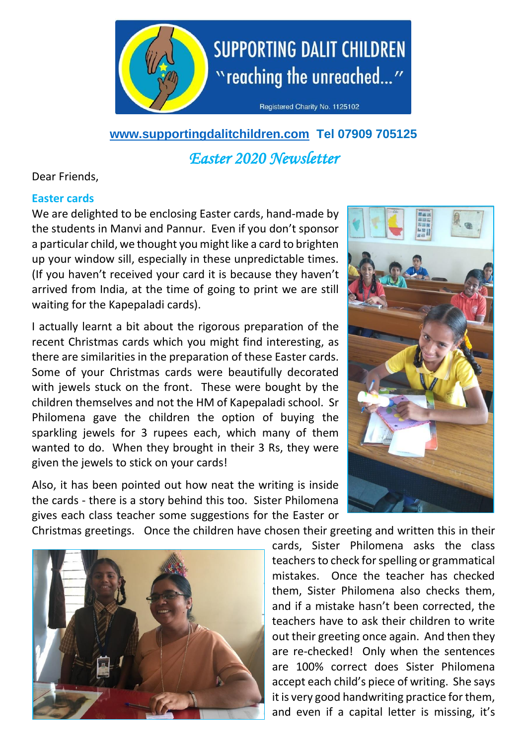

# **[www.supportingdalitchildren.com](http://www.supportingdalitchildren.com/) Tel 07909 705125** *Easter 2020 Newsletter*

Dear Friends,

### **Easter cards**

We are delighted to be enclosing Easter cards, hand-made by the students in Manvi and Pannur. Even if you don't sponsor a particular child, we thought you might like a card to brighten up your window sill, especially in these unpredictable times. (If you haven't received your card it is because they haven't arrived from India, at the time of going to print we are still waiting for the Kapepaladi cards).

I actually learnt a bit about the rigorous preparation of the recent Christmas cards which you might find interesting, as there are similarities in the preparation of these Easter cards. Some of your Christmas cards were beautifully decorated with jewels stuck on the front. These were bought by the children themselves and not the HM of Kapepaladi school. Sr Philomena gave the children the option of buying the sparkling jewels for 3 rupees each, which many of them wanted to do. When they brought in their 3 Rs, they were given the jewels to stick on your cards!

Also, it has been pointed out how neat the writing is inside the cards - there is a story behind this too. Sister Philomena gives each class teacher some suggestions for the Easter or



Christmas greetings. Once the children have chosen their greeting and written this in their



cards, Sister Philomena asks the class teachers to check for spelling or grammatical mistakes. Once the teacher has checked them, Sister Philomena also checks them, and if a mistake hasn't been corrected, the teachers have to ask their children to write out their greeting once again. And then they are re-checked! Only when the sentences are 100% correct does Sister Philomena accept each child's piece of writing. She says it is very good handwriting practice for them, and even if a capital letter is missing, it's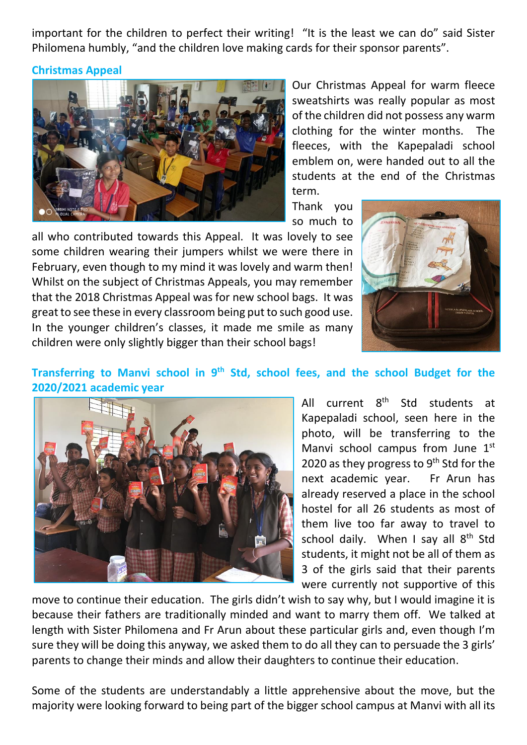important for the children to perfect their writing! "It is the least we can do" said Sister Philomena humbly, "and the children love making cards for their sponsor parents".

#### **Christmas Appeal**



Our Christmas Appeal for warm fleece sweatshirts was really popular as most of the children did not possess any warm clothing for the winter months. The fleeces, with the Kapepaladi school emblem on, were handed out to all the students at the end of the Christmas term.

Thank you so much to

all who contributed towards this Appeal. It was lovely to see some children wearing their jumpers whilst we were there in February, even though to my mind it was lovely and warm then! Whilst on the subject of Christmas Appeals, you may remember that the 2018 Christmas Appeal was for new school bags. It was great to see these in every classroom being put to such good use. In the younger children's classes, it made me smile as many children were only slightly bigger than their school bags!



## Transferring to Manvi school in 9<sup>th</sup> Std, school fees, and the school Budget for the **2020/2021 academic year**



All current 8<sup>th</sup> Std students at Kapepaladi school, seen here in the photo, will be transferring to the Manvi school campus from June  $1<sup>st</sup>$ 2020 as they progress to  $9<sup>th</sup>$  Std for the next academic year. Fr Arun has already reserved a place in the school hostel for all 26 students as most of them live too far away to travel to school daily. When I say all  $8<sup>th</sup>$  Std students, it might not be all of them as 3 of the girls said that their parents were currently not supportive of this

move to continue their education. The girls didn't wish to say why, but I would imagine it is because their fathers are traditionally minded and want to marry them off. We talked at length with Sister Philomena and Fr Arun about these particular girls and, even though I'm sure they will be doing this anyway, we asked them to do all they can to persuade the 3 girls' parents to change their minds and allow their daughters to continue their education.

Some of the students are understandably a little apprehensive about the move, but the majority were looking forward to being part of the bigger school campus at Manvi with all its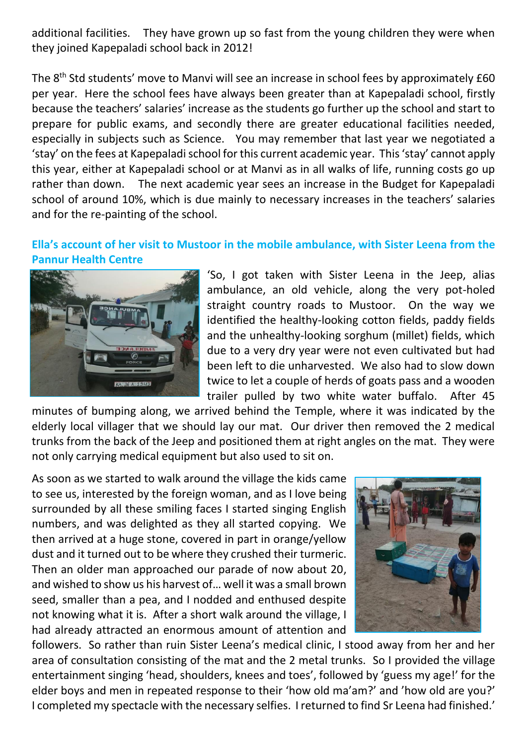additional facilities. They have grown up so fast from the young children they were when they joined Kapepaladi school back in 2012!

The 8<sup>th</sup> Std students' move to Manvi will see an increase in school fees by approximately £60 per year. Here the school fees have always been greater than at Kapepaladi school, firstly because the teachers' salaries' increase as the students go further up the school and start to prepare for public exams, and secondly there are greater educational facilities needed, especially in subjects such as Science. You may remember that last year we negotiated a 'stay' on the fees at Kapepaladi school for this current academic year. This 'stay' cannot apply this year, either at Kapepaladi school or at Manvi as in all walks of life, running costs go up rather than down. The next academic year sees an increase in the Budget for Kapepaladi school of around 10%, which is due mainly to necessary increases in the teachers' salaries and for the re-painting of the school.

## **Ella's account of her visit to Mustoor in the mobile ambulance, with Sister Leena from the Pannur Health Centre**



'So, I got taken with Sister Leena in the Jeep, alias ambulance, an old vehicle, along the very pot-holed straight country roads to Mustoor. On the way we identified the healthy-looking cotton fields, paddy fields and the unhealthy-looking sorghum (millet) fields, which due to a very dry year were not even cultivated but had been left to die unharvested. We also had to slow down twice to let a couple of herds of goats pass and a wooden trailer pulled by two white water buffalo. After 45

minutes of bumping along, we arrived behind the Temple, where it was indicated by the elderly local villager that we should lay our mat. Our driver then removed the 2 medical trunks from the back of the Jeep and positioned them at right angles on the mat. They were not only carrying medical equipment but also used to sit on.

As soon as we started to walk around the village the kids came to see us, interested by the foreign woman, and as I love being surrounded by all these smiling faces I started singing English numbers, and was delighted as they all started copying. We then arrived at a huge stone, covered in part in orange/yellow dust and it turned out to be where they crushed their turmeric. Then an older man approached our parade of now about 20, and wished to show us his harvest of… well it was a small brown seed, smaller than a pea, and I nodded and enthused despite not knowing what it is. After a short walk around the village, I had already attracted an enormous amount of attention and



followers. So rather than ruin Sister Leena's medical clinic, I stood away from her and her area of consultation consisting of the mat and the 2 metal trunks. So I provided the village entertainment singing 'head, shoulders, knees and toes', followed by 'guess my age!' for the elder boys and men in repeated response to their 'how old ma'am?' and 'how old are you?' I completed my spectacle with the necessary selfies. I returned to find Sr Leena had finished.'